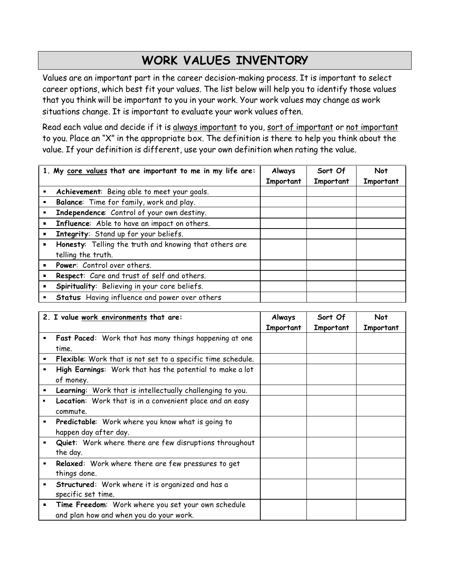## **WORK VALUES INVENTORY**

Values are an important part in the career decision-making process. It is important to select career options, which best fit your values. The list below will help you to identify those values that you think will be important to you in your work. Your work values may change as work situations change. It is important to evaluate your work values often.

Read each value and decide if it is always important to you, sort of important or not important to you. Place an "X" in the appropriate box. The definition is there to help you think about the value. If your definition is different, use your own definition when rating the value.

|                | 1. My core values that are important to me in my life are: | Always    | Sort Of   | <b>Not</b> |
|----------------|------------------------------------------------------------|-----------|-----------|------------|
|                |                                                            | Important | Important | Important  |
| $\blacksquare$ | Achievement: Being able to meet your goals.                |           |           |            |
|                | Balance: Time for family, work and play.                   |           |           |            |
| $\blacksquare$ | Independence: Control of your own destiny.                 |           |           |            |
| $\blacksquare$ | Influence: Able to have an impact on others.               |           |           |            |
|                | Integrity: Stand up for your beliefs.                      |           |           |            |
|                | Honesty: Telling the truth and knowing that others are     |           |           |            |
|                | telling the truth.                                         |           |           |            |
|                | Power: Control over others.                                |           |           |            |
|                | Respect: Care and trust of self and others.                |           |           |            |
|                | Spirituality: Believing in your core beliefs.              |           |           |            |
|                | <b>Status:</b> Having influence and power over others      |           |           |            |

|                | 2. I value work environments that are:                             | Always    | Sort Of   | Not       |
|----------------|--------------------------------------------------------------------|-----------|-----------|-----------|
|                |                                                                    | Important | Important | Important |
|                | Fast Paced: Work that has many things happening at one             |           |           |           |
|                | time.                                                              |           |           |           |
|                | <b>Flexible:</b> Work that is not set to a specific time schedule. |           |           |           |
|                | High Earnings: Work that has the potential to make a lot           |           |           |           |
|                | of money.                                                          |           |           |           |
| п              | Learning: Work that is intellectually challenging to you.          |           |           |           |
|                | Location: Work that is in a convenient place and an easy           |           |           |           |
|                | commute.                                                           |           |           |           |
| $\blacksquare$ | Predictable: Work where you know what is going to                  |           |           |           |
|                | happen day after day.                                              |           |           |           |
|                | Quiet: Work where there are few disruptions throughout             |           |           |           |
|                | the day.                                                           |           |           |           |
| $\blacksquare$ | Relaxed: Work where there are few pressures to get                 |           |           |           |
|                | things done.                                                       |           |           |           |
| $\blacksquare$ | Structured: Work where it is organized and has a                   |           |           |           |
|                | specific set time.                                                 |           |           |           |
|                | Time Freedom: Work where you set your own schedule                 |           |           |           |
|                | and plan how and when you do your work.                            |           |           |           |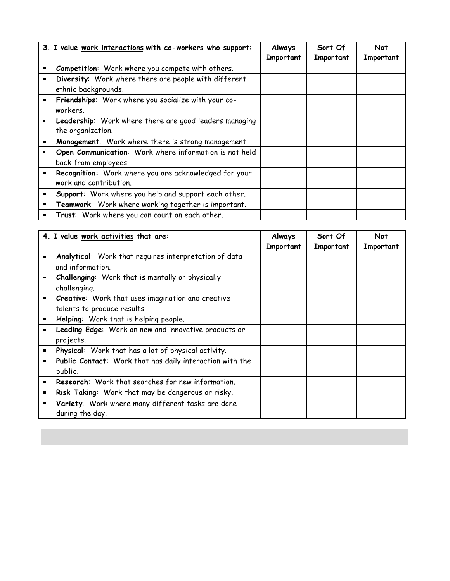|                | 3. I value work interactions with co-workers who support: | Always    | Sort Of   | Not       |
|----------------|-----------------------------------------------------------|-----------|-----------|-----------|
|                |                                                           | Important | Important | Important |
|                | Competition: Work where you compete with others.          |           |           |           |
|                | Diversity: Work where there are people with different     |           |           |           |
|                | ethnic backgrounds.                                       |           |           |           |
| $\blacksquare$ | Friendships: Work where you socialize with your co-       |           |           |           |
|                | workers.                                                  |           |           |           |
|                | Leadership: Work where there are good leaders managing    |           |           |           |
|                | the organization.                                         |           |           |           |
|                | Management: Work where there is strong management.        |           |           |           |
|                | Open Communication: Work where information is not held    |           |           |           |
|                | back from employees.                                      |           |           |           |
|                | Recognition: Work where you are acknowledged for your     |           |           |           |
|                | work and contribution.                                    |           |           |           |
|                | Support: Work where you help and support each other.      |           |           |           |
|                | Teamwork: Work where working together is important.       |           |           |           |
|                | Trust: Work where you can count on each other.            |           |           |           |

|                | 4. I value work activities that are:                                             | Always<br>Important | Sort Of<br>Important | <b>Not</b><br>Important |
|----------------|----------------------------------------------------------------------------------|---------------------|----------------------|-------------------------|
|                | Analytical: Work that requires interpretation of data<br>and information.        |                     |                      |                         |
| $\blacksquare$ | Challenging: Work that is mentally or physically<br>challenging.                 |                     |                      |                         |
|                | Creative: Work that uses imagination and creative<br>talents to produce results. |                     |                      |                         |
| $\blacksquare$ | Helping: Work that is helping people.                                            |                     |                      |                         |
| $\blacksquare$ | Leading Edge: Work on new and innovative products or                             |                     |                      |                         |
|                | projects.                                                                        |                     |                      |                         |
| $\blacksquare$ | Physical: Work that has a lot of physical activity.                              |                     |                      |                         |
| п              | Public Contact: Work that has daily interaction with the                         |                     |                      |                         |
|                | public.                                                                          |                     |                      |                         |
| $\blacksquare$ | Research: Work that searches for new information.                                |                     |                      |                         |
| п              | Risk Taking: Work that may be dangerous or risky.                                |                     |                      |                         |
|                | Variety: Work where many different tasks are done<br>during the day.             |                     |                      |                         |

a sa kabilang sa kalawang sa kalawang sa kalawang sa kalawang sa kalawang sa kalawang sa kalawang sa kalawang